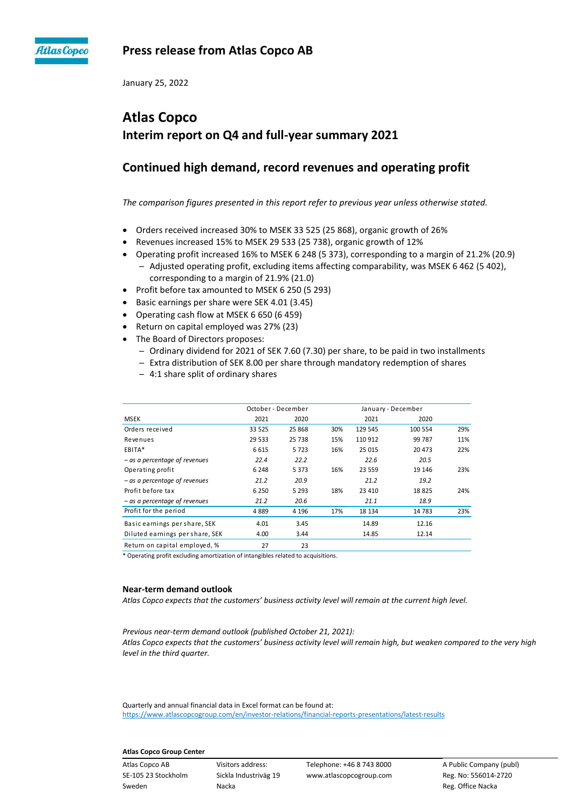

## **Press release from Atlas Copco AB**

January 25, 2022

## **Atlas Copco Interim report on Q4 and full-year summary 2021**

## **Continued high demand, record revenues and operating profit**

*The comparison figures presented in this report refer to previous year unless otherwise stated.*

- Orders received increased 30% to MSEK 33 525 (25 868), organic growth of 26%
- Revenues increased 15% to MSEK 29 533 (25 738), organic growth of 12%
- Operating profit increased 16% to MSEK 6 248 (5 373), corresponding to a margin of 21.2% (20.9) - Adjusted operating profit, excluding items affecting comparability, was MSEK 6 462 (5 402), corresponding to a margin of 21.9% (21.0)
- Profit before tax amounted to MSEK 6 250 (5 293)
- Basic earnings per share were SEK 4.01 (3.45)
- Operating cash flow at MSEK 6 650 (6 459)
- Return on capital employed was 27% (23)
- The Board of Directors proposes:
	- Ordinary dividend for 2021 of SEK 7.60 (7.30) per share, to be paid in two installments
	- Extra distribution of SEK 8.00 per share through mandatory redemption of shares
	- ─ 4:1 share split of ordinary shares

|                                 | October - December |         | January - December |         |         |     |
|---------------------------------|--------------------|---------|--------------------|---------|---------|-----|
| <b>MSEK</b>                     | 2021               | 2020    |                    | 2021    | 2020    |     |
| Orders received                 | 33 525             | 25 868  | 30%                | 129 545 | 100 554 | 29% |
| Revenues                        | 29 533             | 25 738  | 15%                | 110 912 | 99 787  | 11% |
| EBITA*                          | 6615               | 5723    | 16%                | 25 015  | 20 473  | 22% |
| - as a percentage of revenues   | 22.4               | 22.2    |                    | 22.6    | 20.5    |     |
| Operating profit                | 6 2 4 8            | 5 3 7 3 | 16%                | 23 559  | 19 14 6 | 23% |
| $-$ as a percentage of revenues | 21.2               | 20.9    |                    | 21.2    | 19.2    |     |
| Profit before tax               | 6 2 5 0            | 5 2 9 3 | 18%                | 23 4 10 | 18825   | 24% |
| $-$ as a percentage of revenues | 21.2               | 20.6    |                    | 21.1    | 18.9    |     |
| Profit for the period           | 4889               | 4 1 9 6 | 17%                | 18 134  | 14 783  | 23% |
| Basic earnings per share, SEK   | 4.01               | 3.45    |                    | 14.89   | 12.16   |     |
| Diluted earnings per share, SEK | 4.00               | 3.44    |                    | 14.85   | 12.14   |     |
| Return on capital employed, %   | 27                 | 23      |                    |         |         |     |

\* Operating profit excluding amortization of intangibles related to acquisitions.

#### **Near-term demand outlook**

*Atlas Copco expects that the customers' business activity level will remain at the current high level.* 

*Previous near-term demand outlook (published October 21, 2021): Atlas Copco expects that the customers' business activity level will remain high, but weaken compared to the very high level in the third quarter.* 

Quarterly and annual financial data in Excel format can be found at: <https://www.atlascopcogroup.com/en/investor-relations/financial-reports-presentations/latest-results>

#### **Atlas Copco Group Center**

Sweden **Nacka** Reg. Office Nacka Reg. Office Nacka Reg. Office Nacka Reg. Office Nacka Reg. Office Nacka Reg. Office Nacka Reg. Office Nacka Reg. Office Nacka Reg. Office Nacka Reg. Office Nacka Reg. Office Nacka Reg. Offi

Atlas Copco AB Visitors address: Telephone: +46 8 743 8000 A Public Company (publ) SE-105 23 Stockholm Sickla Industriväg 19 www.atlascopcogroup.com Reg. No: 556014-2720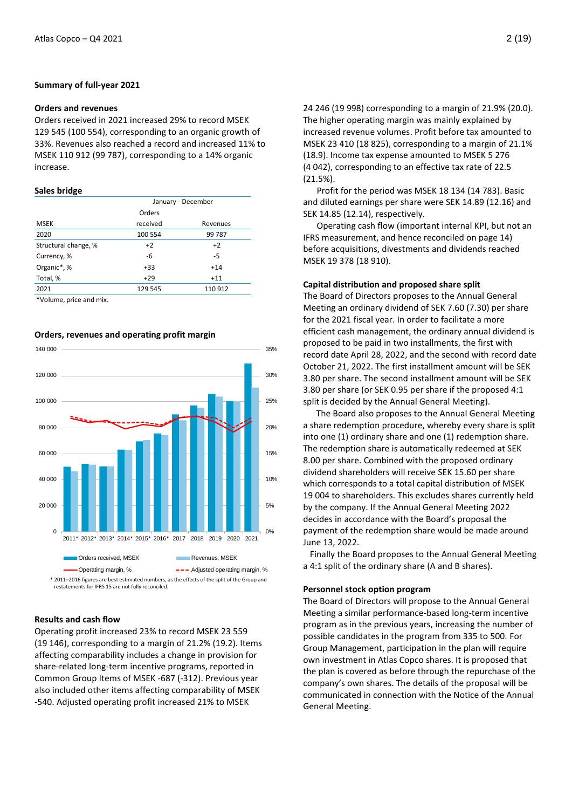#### **Summary of full-year 2021**

#### **Orders and revenues**

Orders received in 2021 increased 29% to record MSEK 129 545 (100 554), corresponding to an organic growth of 33%. Revenues also reached a record and increased 11% to MSEK 110 912 (99 787), corresponding to a 14% organic increase.

#### **Sales bridge**

| January - December |          |  |  |
|--------------------|----------|--|--|
| Orders             |          |  |  |
| received           | Revenues |  |  |
| 100 554            | 99 787   |  |  |
| $+2$               | $+2$     |  |  |
| -6                 | -5       |  |  |
| $+33$              | $+14$    |  |  |
| $+29$              | $+11$    |  |  |
| 129 545            | 110 912  |  |  |
|                    |          |  |  |

\*Volume, price and mix.

#### **Orders, revenues and operating profit margin**



#### **Results and cash flow**

Operating profit increased 23% to record MSEK 23 559 (19 146), corresponding to a margin of 21.2% (19.2). Items affecting comparability includes a change in provision for share-related long-term incentive programs, reported in Common Group Items of MSEK -687 (-312). Previous year also included other items affecting comparability of MSEK -540. Adjusted operating profit increased 21% to MSEK

24 246 (19 998) corresponding to a margin of 21.9% (20.0). The higher operating margin was mainly explained by increased revenue volumes. Profit before tax amounted to MSEK 23 410 (18 825), corresponding to a margin of 21.1% (18.9). Income tax expense amounted to MSEK 5 276 (4 042), corresponding to an effective tax rate of 22.5 (21.5%).

Profit for the period was MSEK 18 134 (14 783). Basic and diluted earnings per share were SEK 14.89 (12.16) and SEK 14.85 (12.14), respectively.

Operating cash flow (important internal KPI, but not an IFRS measurement, and hence reconciled on page 14) before acquisitions, divestments and dividends reached MSEK 19 378 (18 910).

#### **Capital distribution and proposed share split**

The Board of Directors proposes to the Annual General Meeting an ordinary dividend of SEK 7.60 (7.30) per share for the 2021 fiscal year. In order to facilitate a more efficient cash management, the ordinary annual dividend is proposed to be paid in two installments, the first with record date April 28, 2022, and the second with record date October 21, 2022. The first installment amount will be SEK 3.80 per share. The second installment amount will be SEK 3.80 per share (or SEK 0.95 per share if the proposed 4:1 split is decided by the Annual General Meeting).

 The Board also proposes to the Annual General Meeting a share redemption procedure, whereby every share is split into one (1) ordinary share and one (1) redemption share. The redemption share is automatically redeemed at SEK 8.00 per share. Combined with the proposed ordinary dividend shareholders will receive SEK 15.60 per share which corresponds to a total capital distribution of MSEK 19 004 to shareholders. This excludes shares currently held by the company. If the Annual General Meeting 2022 decides in accordance with the Board's proposal the payment of the redemption share would be made around June 13, 2022.

Finally the Board proposes to the Annual General Meeting a 4:1 split of the ordinary share (A and B shares).

#### **Personnel stock option program**

The Board of Directors will propose to the Annual General Meeting a similar performance-based long-term incentive program as in the previous years, increasing the number of possible candidates in the program from 335 to 500. For Group Management, participation in the plan will require own investment in Atlas Copco shares. It is proposed that the plan is covered as before through the repurchase of the company's own shares. The details of the proposal will be communicated in connection with the Notice of the Annual General Meeting.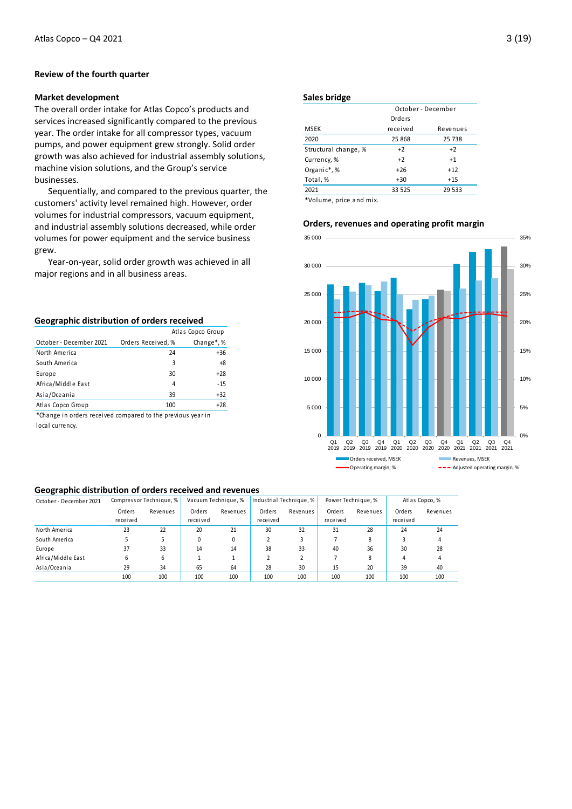#### **Review of the fourth quarter**

#### **Market development**

The overall order intake for Atlas Copco's products and services increased significantly compared to the previous year. The order intake for all compressor types, vacuum pumps, and power equipment grew strongly. Solid order growth was also achieved for industrial assembly solutions, machine vision solutions, and the Group's service businesses.

Sequentially, and compared to the previous quarter, the customers' activity level remained high. However, order volumes for industrial compressors, vacuum equipment, and industrial assembly solutions decreased, while order volumes for power equipment and the service business grew.

Year-on-year, solid order growth was achieved in all major regions and in all business areas.

#### **Geographic distribution of orders received**

|                         |                    | Atlas Copco Group       |
|-------------------------|--------------------|-------------------------|
| October - December 2021 | Orders Received, % | Change <sup>*</sup> , % |
| North America           | 24                 | $+36$                   |
| South America           | 3                  | $+8$                    |
| Europe                  | 30                 | $+28$                   |
| Africa/Middle East      | 4                  | $-15$                   |
| Asia/Oceania            | 39                 | $+32$                   |
| Atlas Copco Group       | 100                | $+28$                   |

\*Change in orders received compared to the previous year in local currency.

#### **Sales bridge**

|                       | October - December |          |  |  |  |
|-----------------------|--------------------|----------|--|--|--|
|                       | Orders             |          |  |  |  |
| <b>MSEK</b>           | received           | Revenues |  |  |  |
| 2020                  | 25 868             | 25 738   |  |  |  |
| Structural change, %  | $+2$               | $+2$     |  |  |  |
| Currency, %           | $+2$               | $+1$     |  |  |  |
| Organic*,%            | $+26$              | $+12$    |  |  |  |
| Total, %              | $+30$              | $+15$    |  |  |  |
| 2021                  | 33 5 25            | 29 533   |  |  |  |
| *Volume price and mix |                    |          |  |  |  |

Volume, price and mix

## **Orders, revenues and operating profit margin**



#### **Geographic distribution of orders received and revenues**

| - -                     |          |                         |          |                     |          |                         |          |                    |          |                |
|-------------------------|----------|-------------------------|----------|---------------------|----------|-------------------------|----------|--------------------|----------|----------------|
| October - December 2021 |          | Compressor Technique, % |          | Vacuum Technique, % |          | Industrial Technique, % |          | Power Technique, % |          | Atlas Copco, % |
|                         | Orders   | Revenues                | Orders   | Revenues            | Orders   | Revenues                | Orders   | Revenues           | Orders   | Revenues       |
|                         | received |                         | received |                     | received |                         | received |                    | received |                |
| North America           | 23       | 22                      | 20       | 21                  | 30       | 32                      | 31       | 28                 | 24       | 24             |
| South America           |          |                         | 0        | 0                   |          |                         |          | 8                  |          | 4              |
| Europe                  | 37       | 33                      | 14       | 14                  | 38       | 33                      | 40       | 36                 | 30       | 28             |
| Africa/Middle East      | 6        | 6                       |          |                     |          |                         |          | 8                  | 4        | 4              |
| Asia/Oceania            | 29       | 34                      | 65       | 64                  | 28       | 30                      | 15       | 20                 | 39       | 40             |
|                         | 100      | 100                     | 100      | 100                 | 100      | 100                     | 100      | 100                | 100      | 100            |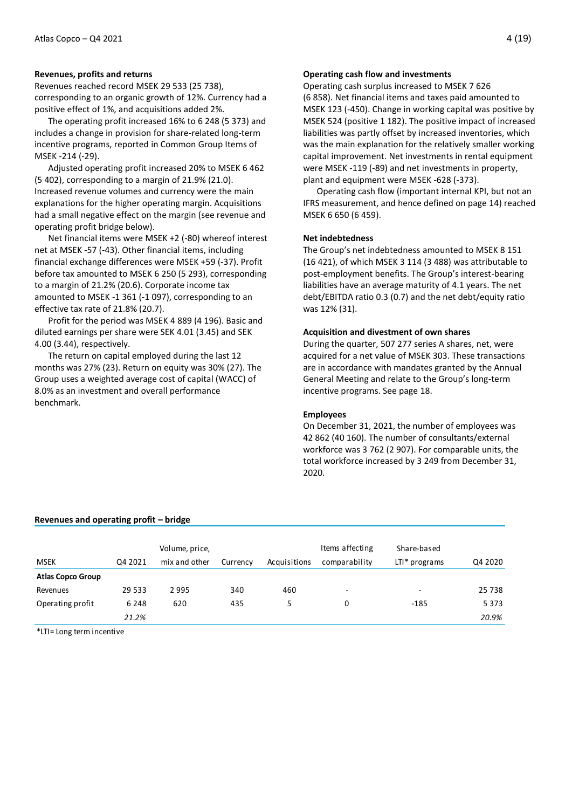#### **Revenues, profits and returns**

Revenues reached record MSEK 29 533 (25 738), corresponding to an organic growth of 12%. Currency had a positive effect of 1%, and acquisitions added 2%.

The operating profit increased 16% to 6 248 (5 373) and includes a change in provision for share-related long-term incentive programs, reported in Common Group Items of MSEK -214 (-29).

Adjusted operating profit increased 20% to MSEK 6 462 (5 402), corresponding to a margin of 21.9% (21.0). Increased revenue volumes and currency were the main explanations for the higher operating margin. Acquisitions had a small negative effect on the margin (see revenue and operating profit bridge below).

Net financial items were MSEK +2 (-80) whereof interest net at MSEK -57 (-43). Other financial items, including financial exchange differences were MSEK +59 (-37). Profit before tax amounted to MSEK 6 250 (5 293), corresponding to a margin of 21.2% (20.6). Corporate income tax amounted to MSEK -1 361 (-1 097), corresponding to an effective tax rate of 21.8% (20.7).

Profit for the period was MSEK 4 889 (4 196). Basic and diluted earnings per share were SEK 4.01 (3.45) and SEK 4.00 (3.44), respectively.

The return on capital employed during the last 12 months was 27% (23). Return on equity was 30% (27). The Group uses a weighted average cost of capital (WACC) of 8.0% as an investment and overall performance benchmark.

#### **Operating cash flow and investments**

Operating cash surplus increased to MSEK 7 626 (6 858). Net financial items and taxes paid amounted to MSEK 123 (-450). Change in working capital was positive by MSEK 524 (positive 1 182). The positive impact of increased liabilities was partly offset by increased inventories, which was the main explanation for the relatively smaller working capital improvement. Net investments in rental equipment were MSEK -119 (-89) and net investments in property, plant and equipment were MSEK -628 (-373).

Operating cash flow (important internal KPI, but not an IFRS measurement, and hence defined on page 14) reached MSEK 6 650 (6 459).

#### **Net indebtedness**

The Group's net indebtedness amounted to MSEK 8 151 (16 421), of which MSEK 3 114 (3 488) was attributable to post-employment benefits. The Group's interest-bearing liabilities have an average maturity of 4.1 years. The net debt/EBITDA ratio 0.3 (0.7) and the net debt/equity ratio was 12% (31).

#### **Acquisition and divestment of own shares**

During the quarter, 507 277 series A shares, net, were acquired for a net value of MSEK 303. These transactions are in accordance with mandates granted by the Annual General Meeting and relate to the Group's long-term incentive programs. See page 18.

#### **Employees**

On December 31, 2021, the number of employees was 42 862 (40 160). The number of consultants/external workforce was 3 762 (2 907). For comparable units, the total workforce increased by 3 249 from December 31, 2020.

### **Revenues and operating profit – bridge**

|                                                                                                                                |          | Volume, price, |          |              | Items affecting | Share-based     |         |
|--------------------------------------------------------------------------------------------------------------------------------|----------|----------------|----------|--------------|-----------------|-----------------|---------|
| <b>MSEK</b>                                                                                                                    | Q4 2021  | mix and other  | Currency | Acquisitions | comparability   | $LTI* programs$ | Q4 2020 |
| <b>Atlas Copco Group</b>                                                                                                       |          |                |          |              |                 |                 |         |
| Revenues                                                                                                                       | 29 5 3 3 | 2995           | 340      | 460          | ۰               | $\overline{a}$  | 25 7 38 |
| Operating profit                                                                                                               | 6 2 4 8  | 620            | 435      | 5            | 0               | $-185$          | 5 3 7 3 |
|                                                                                                                                | 21.2%    |                |          |              |                 |                 | 20.9%   |
| $\mathbf{r}$ , and $\mathbf{r}$ , and $\mathbf{r}$ , and $\mathbf{r}$ , and $\mathbf{r}$ , and $\mathbf{r}$ , and $\mathbf{r}$ |          |                |          |              |                 |                 |         |

\*LTI= Long term incentive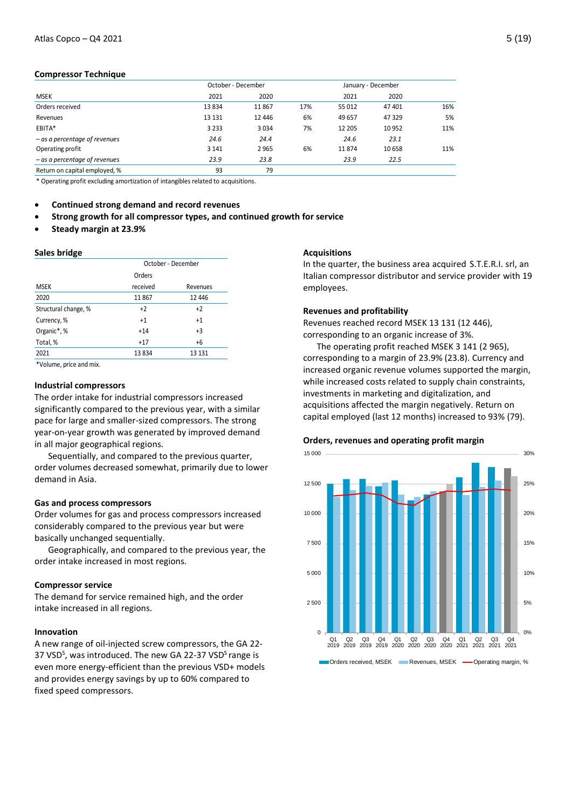#### **Compressor Technique**

|                                 | October - December |         |     |        | January - December |     |
|---------------------------------|--------------------|---------|-----|--------|--------------------|-----|
| <b>MSEK</b>                     | 2021               | 2020    |     | 2021   | 2020               |     |
| Orders received                 | 13834              | 11867   | 17% | 55 012 | 47 401             | 16% |
| Revenues                        | 13 13 1            | 12 4 46 | 6%  | 49 657 | 47 329             | 5%  |
| EBITA*                          | 3 2 3 3            | 3034    | 7%  | 12 205 | 10 9 52            | 11% |
| $-$ as a percentage of revenues | 24.6               | 24.4    |     | 24.6   | 23.1               |     |
| Operating profit                | 3 1 4 1            | 2965    | 6%  | 11874  | 10 658             | 11% |
| - as a percentage of revenues   | 23.9               | 23.8    |     | 23.9   | 22.5               |     |
| Return on capital employed, %   | 93                 | 79      |     |        |                    |     |

\* Operating profit excluding amortization of intangibles related to acquisitions.

**Continued strong demand and record revenues**

- **Strong growth for all compressor types, and continued growth for service**
- **Steady margin at 23.9%**

#### **Sales bridge**

|                      | October - December |          |  |  |  |
|----------------------|--------------------|----------|--|--|--|
|                      | Orders             |          |  |  |  |
| <b>MSEK</b>          | received           | Revenues |  |  |  |
| 2020                 | 11867              | 12 4 46  |  |  |  |
| Structural change, % | $+2$               | $+2$     |  |  |  |
| Currency, %          | $+1$               | $+1$     |  |  |  |
| Organic*,%           | $+14$              | $+3$     |  |  |  |
| Total, %             | $+17$              | $+6$     |  |  |  |
| 2021                 | 13834              | 13 1 31  |  |  |  |

\*Volume, price and mix.

#### **Industrial compressors**

The order intake for industrial compressors increased significantly compared to the previous year, with a similar pace for large and smaller-sized compressors. The strong year-on-year growth was generated by improved demand in all major geographical regions.

Sequentially, and compared to the previous quarter, order volumes decreased somewhat, primarily due to lower demand in Asia.

#### **Gas and process compressors**

Order volumes for gas and process compressors increased considerably compared to the previous year but were basically unchanged sequentially.

Geographically, and compared to the previous year, the order intake increased in most regions.

#### **Compressor service**

The demand for service remained high, and the order intake increased in all regions.

#### **Innovation**

A new range of oil-injected screw compressors, the GA 22- 37 VSD<sup>S</sup>, was introduced. The new GA 22-37 VSD<sup>S</sup> range is even more energy-efficient than the previous VSD+ models and provides energy savings by up to 60% compared to fixed speed compressors.

#### **Acquisitions**

In the quarter, the business area acquired S.T.E.R.I. srl, an Italian compressor distributor and service provider with 19 employees.

#### **Revenues and profitability**

Revenues reached record MSEK 13 131 (12 446), corresponding to an organic increase of 3%.

The operating profit reached MSEK 3 141 (2 965), corresponding to a margin of 23.9% (23.8). Currency and increased organic revenue volumes supported the margin, while increased costs related to supply chain constraints, investments in marketing and digitalization, and acquisitions affected the margin negatively. Return on capital employed (last 12 months) increased to 93% (79).



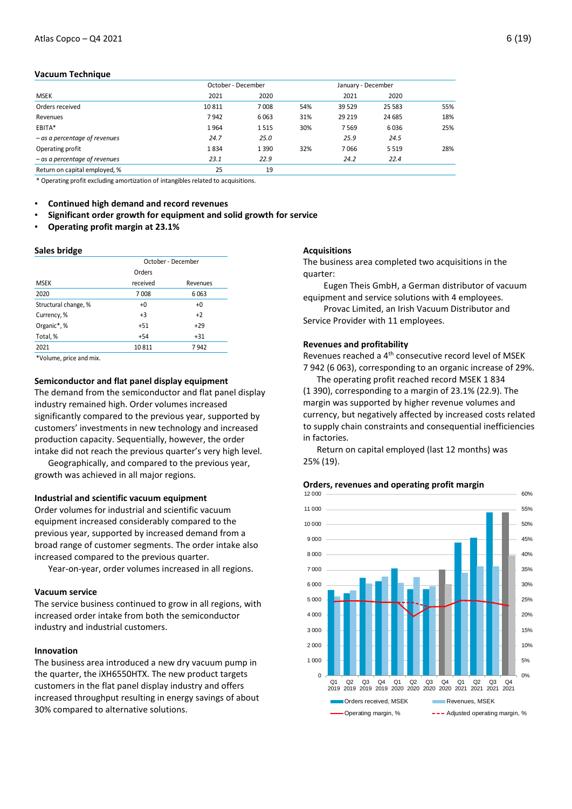#### **Vacuum Technique**

|                                 | October - December |      |     | January - December |         |     |
|---------------------------------|--------------------|------|-----|--------------------|---------|-----|
| <b>MSEK</b>                     | 2021               | 2020 |     | 2021               | 2020    |     |
| Orders received                 | 10811              | 7008 | 54% | 39 5 29            | 25 5 83 | 55% |
| Revenues                        | 7942               | 6063 | 31% | 29 219             | 24 685  | 18% |
| EBITA*                          | 1964               | 1515 | 30% | 7569               | 6036    | 25% |
| $-$ as a percentage of revenues | 24.7               | 25.0 |     | 25.9               | 24.5    |     |
| Operating profit                | 1834               | 1390 | 32% | 7066               | 5 5 1 9 | 28% |
| $-$ as a percentage of revenues | 23.1               | 22.9 |     | 24.2               | 22.4    |     |
| Return on capital employed, %   | 25                 | 19   |     |                    |         |     |

\* Operating profit excluding amortization of intangibles related to acquisitions.

- **Continued high demand and record revenues**
- **Significant order growth for equipment and solid growth for service**
- **Operating profit margin at 23.1%**

#### **Sales bridge**

|                      | October - December |          |  |  |  |
|----------------------|--------------------|----------|--|--|--|
|                      | Orders             |          |  |  |  |
| <b>MSEK</b>          | received           | Revenues |  |  |  |
| 2020                 | 7008               | 6063     |  |  |  |
| Structural change, % | $+0$               | $+0$     |  |  |  |
| Currency, %          | $+3$               | $+2$     |  |  |  |
| Organic*, %          | $+51$              | $+29$    |  |  |  |
| Total, %             | $+54$              | $+31$    |  |  |  |
| 2021                 | 10811              | 7942     |  |  |  |

\*Volume, price and mix.

#### **Semiconductor and flat panel display equipment**

The demand from the semiconductor and flat panel display industry remained high. Order volumes increased significantly compared to the previous year, supported by customers' investments in new technology and increased production capacity. Sequentially, however, the order intake did not reach the previous quarter's very high level.

Geographically, and compared to the previous year, growth was achieved in all major regions.

#### **Industrial and scientific vacuum equipment**

Order volumes for industrial and scientific vacuum equipment increased considerably compared to the previous year, supported by increased demand from a broad range of customer segments. The order intake also increased compared to the previous quarter.

Year-on-year, order volumes increased in all regions.

#### **Vacuum service**

The service business continued to grow in all regions, with increased order intake from both the semiconductor industry and industrial customers.

## **Innovation**

The business area introduced a new dry vacuum pump in the quarter, the iXH6550HTX. The new product targets customers in the flat panel display industry and offers increased throughput resulting in energy savings of about 30% compared to alternative solutions.

#### **Acquisitions**

The business area completed two acquisitions in the quarter:

Eugen Theis GmbH, a German distributor of vacuum equipment and service solutions with 4 employees.

Provac Limited, an Irish Vacuum Distributor and Service Provider with 11 employees.

#### **Revenues and profitability**

Revenues reached a 4th consecutive record level of MSEK 7 942 (6 063), corresponding to an organic increase of 29%.

The operating profit reached record MSEK 1 834 (1 390), corresponding to a margin of 23.1% (22.9). The margin was supported by higher revenue volumes and currency, but negatively affected by increased costs related to supply chain constraints and consequential inefficiencies in factories.

Return on capital employed (last 12 months) was 25% (19).



#### **Orders, revenues and operating profit margin**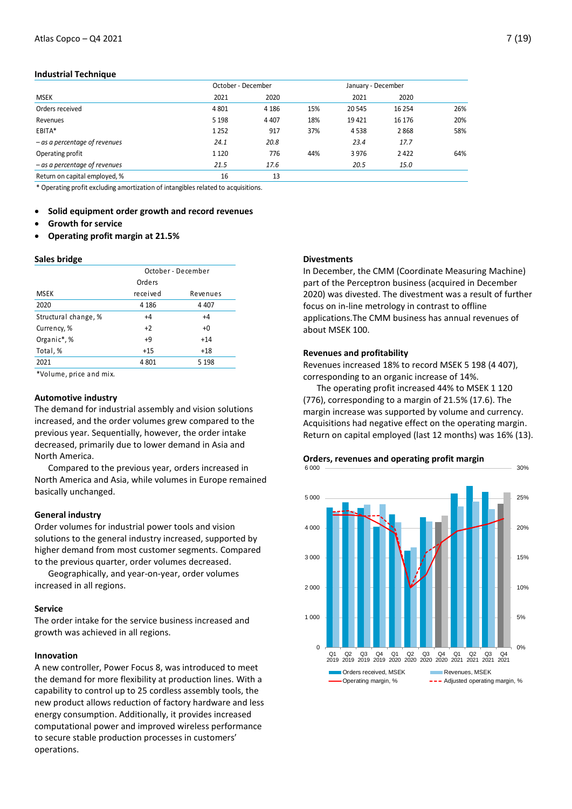#### **Industrial Technique**

|                                 | October - December |         |     | January - December |         |     |
|---------------------------------|--------------------|---------|-----|--------------------|---------|-----|
| <b>MSEK</b>                     | 2021               | 2020    |     | 2021               | 2020    |     |
| Orders received                 | 4 8 0 1            | 4 1 8 6 | 15% | 20 545             | 16 254  | 26% |
| Revenues                        | 5 1 9 8            | 4 4 0 7 | 18% | 19421              | 16 17 6 | 20% |
| EBITA*                          | 1 2 5 2            | 917     | 37% | 4538               | 2868    | 58% |
| $-$ as a percentage of revenues | 24.1               | 20.8    |     | 23.4               | 17.7    |     |
| Operating profit                | 1 1 2 0            | 776     | 44% | 3976               | 2422    | 64% |
| $-$ as a percentage of revenues | 21.5               | 17.6    |     | 20.5               | 15.0    |     |
| Return on capital employed, %   | 16                 | 13      |     |                    |         |     |

\* Operating profit excluding amortization of intangibles related to acquisitions.

**Solid equipment order growth and record revenues** 

- **Growth for service**
- **Operating profit margin at 21.5%**

#### **Sales bridge**

|                      | October - December |          |  |  |  |
|----------------------|--------------------|----------|--|--|--|
|                      | Orders             |          |  |  |  |
| MSEK                 | received           | Revenues |  |  |  |
| 2020                 | 4 1 8 6            | 4 4 0 7  |  |  |  |
| Structural change, % | $+4$               | $+4$     |  |  |  |
| Currency, %          | $+2$               | $+0$     |  |  |  |
| Organic*, %          | +9                 | $+14$    |  |  |  |
| Total, %             | $+15$              | $+18$    |  |  |  |
| 2021                 | 4 8 0 1            | 5 1 9 8  |  |  |  |
|                      |                    |          |  |  |  |

\*Volume, price and mix.

#### **Automotive industry**

The demand for industrial assembly and vision solutions increased, and the order volumes grew compared to the previous year. Sequentially, however, the order intake decreased, primarily due to lower demand in Asia and North America.

Compared to the previous year, orders increased in North America and Asia, while volumes in Europe remained basically unchanged.

#### **General industry**

Order volumes for industrial power tools and vision solutions to the general industry increased, supported by higher demand from most customer segments. Compared to the previous quarter, order volumes decreased.

Geographically, and year-on-year, order volumes increased in all regions.

#### **Service**

The order intake for the service business increased and growth was achieved in all regions.

### **Innovation**

A new controller, Power Focus 8, was introduced to meet the demand for more flexibility at production lines. With a capability to control up to 25 cordless assembly tools, the new product allows reduction of factory hardware and less energy consumption. Additionally, it provides increased computational power and improved wireless performance to secure stable production processes in customers' operations.

#### **Divestments**

In December, the CMM (Coordinate Measuring Machine) part of the Perceptron business (acquired in December 2020) was divested. The divestment was a result of further focus on in-line metrology in contrast to offline applications.The CMM business has annual revenues of about MSEK 100.

#### **Revenues and profitability**

Revenues increased 18% to record MSEK 5 198 (4 407), corresponding to an organic increase of 14%.

The operating profit increased 44% to MSEK 1 120 (776), corresponding to a margin of 21.5% (17.6). The margin increase was supported by volume and currency. Acquisitions had negative effect on the operating margin. Return on capital employed (last 12 months) was 16% (13).

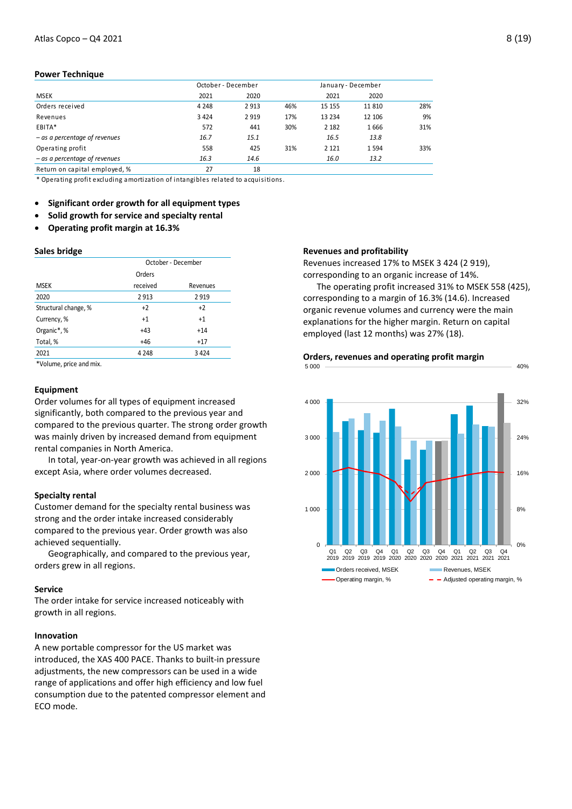#### **Power Technique**

|                                 | October - December |         |     |         | January - December |     |
|---------------------------------|--------------------|---------|-----|---------|--------------------|-----|
| <b>MSEK</b>                     | 2021               | 2020    |     | 2021    | 2020               |     |
| Orders received                 | 4 2 4 8            | 2913    | 46% | 15 15 5 | 11 810             | 28% |
| Revenues                        | 3 4 2 4            | 2 9 1 9 | 17% | 13 2 34 | 12 10 6            | 9%  |
| EBITA*                          | 572                | 441     | 30% | 2 1 8 2 | 1666               | 31% |
| $-$ as a percentage of revenues | 16.7               | 15.1    |     | 16.5    | 13.8               |     |
| Operating profit                | 558                | 425     | 31% | 2 1 2 1 | 1594               | 33% |
| $-$ as a percentage of revenues | 16.3               | 14.6    |     | 16.0    | 13.2               |     |
| Return on capital employed, %   | 27                 | 18      |     |         |                    |     |

\* Operating profit excluding amortization of intangibles related to acquisitions.

**Significant order growth for all equipment types** 

- **Solid growth for service and specialty rental**
- **Operating profit margin at 16.3%**

#### **Sales bridge**

|                      | October - December |          |  |  |  |
|----------------------|--------------------|----------|--|--|--|
|                      | Orders             |          |  |  |  |
| <b>MSEK</b>          | received           | Revenues |  |  |  |
| 2020                 | 2913               | 2919     |  |  |  |
| Structural change, % | $+2$               | $+2$     |  |  |  |
| Currency, %          | $+1$               | $+1$     |  |  |  |
| Organic*, %          | $+43$              | $+14$    |  |  |  |
| Total, %             | $+46$              | $+17$    |  |  |  |
| 2021                 | 4 2 4 8            | 3424     |  |  |  |

\*Volume, price and mix.

#### **Equipment**

Order volumes for all types of equipment increased significantly, both compared to the previous year and compared to the previous quarter. The strong order growth was mainly driven by increased demand from equipment rental companies in North America.

In total, year-on-year growth was achieved in all regions except Asia, where order volumes decreased.

#### **Specialty rental**

Customer demand for the specialty rental business was strong and the order intake increased considerably compared to the previous year. Order growth was also achieved sequentially.

Geographically, and compared to the previous year, orders grew in all regions.

#### **Service**

The order intake for service increased noticeably with growth in all regions.

#### **Innovation**

A new portable compressor for the US market was introduced, the XAS 400 PACE. Thanks to built-in pressure adjustments, the new compressors can be used in a wide range of applications and offer high efficiency and low fuel consumption due to the patented compressor element and ECO mode.

#### **Revenues and profitability**

Revenues increased 17% to MSEK 3 424 (2 919), corresponding to an organic increase of 14%.

The operating profit increased 31% to MSEK 558 (425), corresponding to a margin of 16.3% (14.6). Increased organic revenue volumes and currency were the main explanations for the higher margin. Return on capital employed (last 12 months) was 27% (18).



# **Orders, revenues and operating profit margin**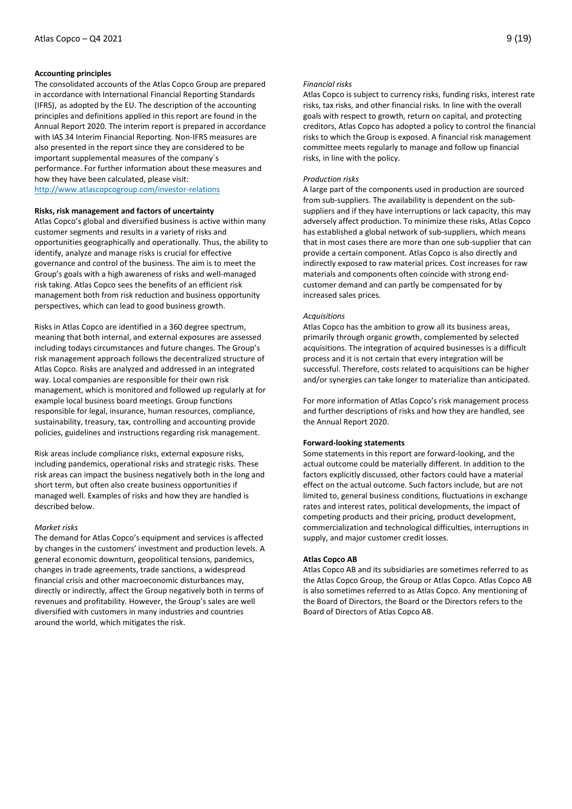#### **Accounting principles**

The consolidated accounts of the Atlas Copco Group are prepared in accordance with International Financial Reporting Standards (IFRS), as adopted by the EU. The description of the accounting principles and definitions applied in this report are found in the Annual Report 2020. The interim report is prepared in accordance with IAS 34 Interim Financial Reporting. Non-IFRS measures are also presented in the report since they are considered to be important supplemental measures of the company´s performance. For further information about these measures and how they have been calculated, please visit: <http://www.atlascopcogroup.com/investor-relations>

#### **Risks, risk management and factors of uncertainty**

Atlas Copco's global and diversified business is active within many customer segments and results in a variety of risks and opportunities geographically and operationally. Thus, the ability to identify, analyze and manage risks is crucial for effective governance and control of the business. The aim is to meet the Group's goals with a high awareness of risks and well-managed risk taking. Atlas Copco sees the benefits of an efficient risk management both from risk reduction and business opportunity perspectives, which can lead to good business growth.

Risks in Atlas Copco are identified in a 360 degree spectrum, meaning that both internal, and external exposures are assessed including todays circumstances and future changes. The Group's risk management approach follows the decentralized structure of Atlas Copco. Risks are analyzed and addressed in an integrated way. Local companies are responsible for their own risk management, which is monitored and followed up regularly at for example local business board meetings. Group functions responsible for legal, insurance, human resources, compliance, sustainability, treasury, tax, controlling and accounting provide policies, guidelines and instructions regarding risk management.

Risk areas include compliance risks, external exposure risks, including pandemics, operational risks and strategic risks. These risk areas can impact the business negatively both in the long and short term, but often also create business opportunities if managed well. Examples of risks and how they are handled is described below.

#### *Market risks*

The demand for Atlas Copco's equipment and services is affected by changes in the customers' investment and production levels. A general economic downturn, geopolitical tensions, pandemics, changes in trade agreements, trade sanctions, a widespread financial crisis and other macroeconomic disturbances may, directly or indirectly, affect the Group negatively both in terms of revenues and profitability. However, the Group's sales are well diversified with customers in many industries and countries around the world, which mitigates the risk.

#### *Financial risks*

Atlas Copco is subject to currency risks, funding risks, interest rate risks, tax risks, and other financial risks. In line with the overall goals with respect to growth, return on capital, and protecting creditors, Atlas Copco has adopted a policy to control the financial risks to which the Group is exposed. A financial risk management committee meets regularly to manage and follow up financial risks, in line with the policy.

#### *Production risks*

A large part of the components used in production are sourced from sub-suppliers. The availability is dependent on the subsuppliers and if they have interruptions or lack capacity, this may adversely affect production. To minimize these risks, Atlas Copco has established a global network of sub-suppliers, which means that in most cases there are more than one sub-supplier that can provide a certain component. Atlas Copco is also directly and indirectly exposed to raw material prices. Cost increases for raw materials and components often coincide with strong endcustomer demand and can partly be compensated for by increased sales prices.

#### *Acquisitions*

Atlas Copco has the ambition to grow all its business areas, primarily through organic growth, complemented by selected acquisitions. The integration of acquired businesses is a difficult process and it is not certain that every integration will be successful. Therefore, costs related to acquisitions can be higher and/or synergies can take longer to materialize than anticipated.

For more information of Atlas Copco's risk management process and further descriptions of risks and how they are handled, see the Annual Report 2020.

#### **Forward-looking statements**

Some statements in this report are forward-looking, and the actual outcome could be materially different. In addition to the factors explicitly discussed, other factors could have a material effect on the actual outcome. Such factors include, but are not limited to, general business conditions, fluctuations in exchange rates and interest rates, political developments, the impact of competing products and their pricing, product development, commercialization and technological difficulties, interruptions in supply, and major customer credit losses.

#### **Atlas Copco AB**

Atlas Copco AB and its subsidiaries are sometimes referred to as the Atlas Copco Group, the Group or Atlas Copco. Atlas Copco AB is also sometimes referred to as Atlas Copco. Any mentioning of the Board of Directors, the Board or the Directors refers to the Board of Directors of Atlas Copco AB.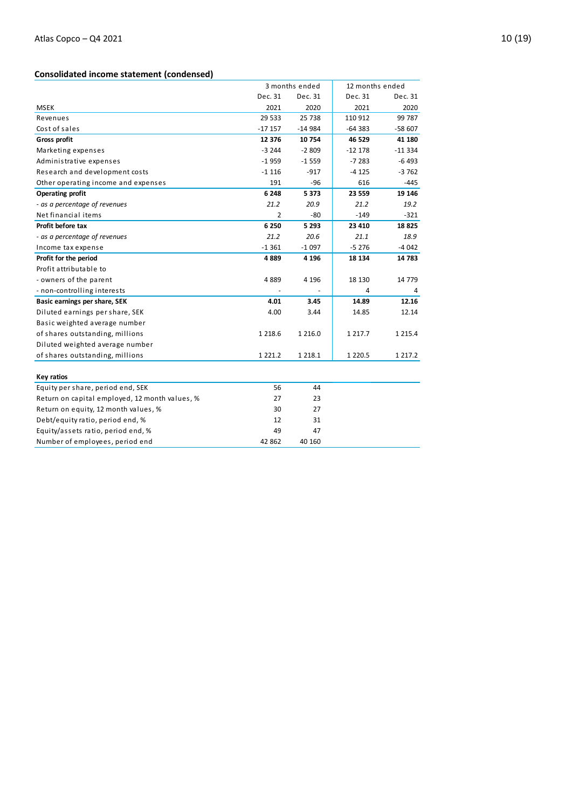## **Consolidated income statement (condensed)**

|                                                | 3 months ended |             | 12 months ended |             |
|------------------------------------------------|----------------|-------------|-----------------|-------------|
|                                                | Dec. 31        | Dec. 31     | Dec. 31         | Dec. 31     |
| <b>MSEK</b>                                    | 2021           | 2020        | 2021            | 2020        |
| Revenues                                       | 29 5 33        | 25 7 38     | 110 912         | 99 787      |
| Cost of sales                                  | $-17157$       | $-14984$    | $-64383$        | $-58607$    |
| <b>Gross profit</b>                            | 12 376         | 10754       | 46 529          | 41 180      |
| Marketing expenses                             | $-3244$        | $-2809$     | $-12178$        | $-11334$    |
| Administrative expenses                        | $-1959$        | $-1559$     | $-7283$         | $-6493$     |
| Research and development costs                 | $-1116$        | $-917$      | $-4125$         | $-3762$     |
| Other operating income and expenses            | 191            | $-96$       | 616             | -445        |
| <b>Operating profit</b>                        | 6 2 4 8        | 5373        | 23 559          | 19 14 6     |
| - as a percentage of revenues                  | 21.2           | 20.9        | 21.2            | 19.2        |
| Net financial items                            | 2              | $-80$       | $-149$          | $-321$      |
| Profit before tax                              | 6 2 5 0        | 5 2 9 3     | 23 4 10         | 18825       |
| - as a percentage of revenues                  | 21.2           | 20.6        | 21.1            | 18.9        |
| Income tax expense                             | $-1361$        | $-1097$     | $-5276$         | $-4042$     |
| Profit for the period                          | 4889           | 4 1 9 6     | 18 134          | 14783       |
| Profit attributable to                         |                |             |                 |             |
| - owners of the parent                         | 4889           | 4 1 9 6     | 18 130          | 14 7 7 9    |
| - non-controlling interests                    |                |             | 4               | 4           |
| Basic earnings per share, SEK                  | 4.01           | 3.45        | 14.89           | 12.16       |
| Diluted earnings per share, SEK                | 4.00           | 3.44        | 14.85           | 12.14       |
| Basic weighted average number                  |                |             |                 |             |
| of shares outstanding, millions                | 1 2 1 8.6      | 1 2 1 6 .0  | 1 2 1 7 . 7     | 1 2 1 5 . 4 |
| Diluted weighted average number                |                |             |                 |             |
| of shares outstanding, millions                | 1 2 2 1 . 2    | 1 2 1 8 . 1 | 1 2 2 0.5       | 1 2 1 7 . 2 |
|                                                |                |             |                 |             |
| Key ratios                                     |                |             |                 |             |
| Equity per share, period end, SEK              | 56             | 44          |                 |             |
| Return on capital employed, 12 month values, % | 27             | 23          |                 |             |
| Return on equity, 12 month values, %           | 30             | 27          |                 |             |
| Debt/equity ratio, period end, %               | 12             | 31          |                 |             |
| Equity/assets ratio, period end, %             | 49             | 47          |                 |             |
| Number of employees, period end                | 42 862         | 40 160      |                 |             |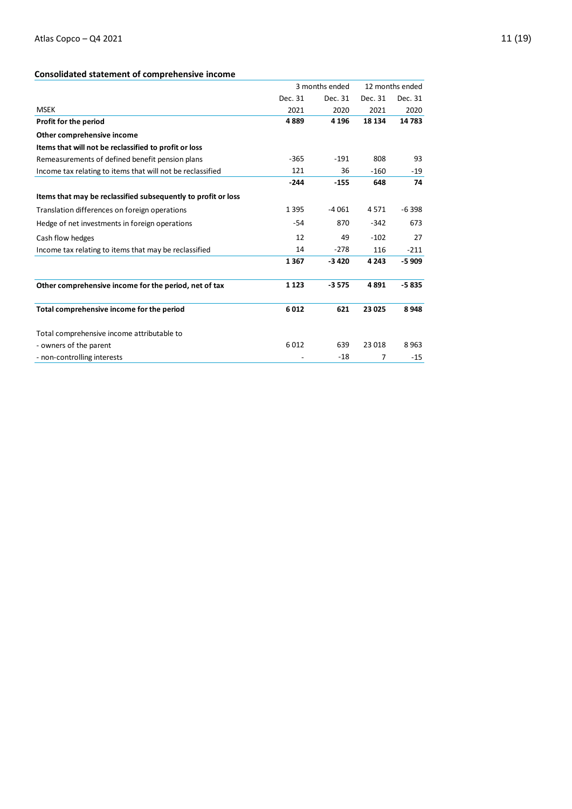## **Consolidated statement of comprehensive income**

|                                                               |         | 3 months ended |         | 12 months ended |
|---------------------------------------------------------------|---------|----------------|---------|-----------------|
|                                                               | Dec. 31 | Dec. 31        | Dec. 31 | Dec. 31         |
| <b>MSEK</b>                                                   | 2021    | 2020           | 2021    | 2020            |
| Profit for the period                                         | 4889    | 4 1 9 6        | 18 134  | 14783           |
| Other comprehensive income                                    |         |                |         |                 |
| Items that will not be reclassified to profit or loss         |         |                |         |                 |
| Remeasurements of defined benefit pension plans               | $-365$  | $-191$         | 808     | 93              |
| Income tax relating to items that will not be reclassified    | 121     | 36             | $-160$  | -19             |
|                                                               | $-244$  | $-155$         | 648     | 74              |
| Items that may be reclassified subsequently to profit or loss |         |                |         |                 |
| Translation differences on foreign operations                 | 1 3 9 5 | $-4061$        | 4571    | $-6398$         |
| Hedge of net investments in foreign operations                | $-54$   | 870            | $-342$  | 673             |
| Cash flow hedges                                              | 12      | 49             | $-102$  | 27              |
| Income tax relating to items that may be reclassified         | 14      | $-278$         | 116     | $-211$          |
|                                                               | 1367    | $-3420$        | 4 2 4 3 | $-5909$         |
| Other comprehensive income for the period, net of tax         | 1 1 2 3 | $-3575$        | 4891    | $-5835$         |
| Total comprehensive income for the period                     | 6012    | 621            | 23 0 25 | 8948            |
| Total comprehensive income attributable to                    |         |                |         |                 |
| - owners of the parent                                        | 6012    | 639            | 23 018  | 8963            |
| - non-controlling interests                                   |         | $-18$          | 7       | $-15$           |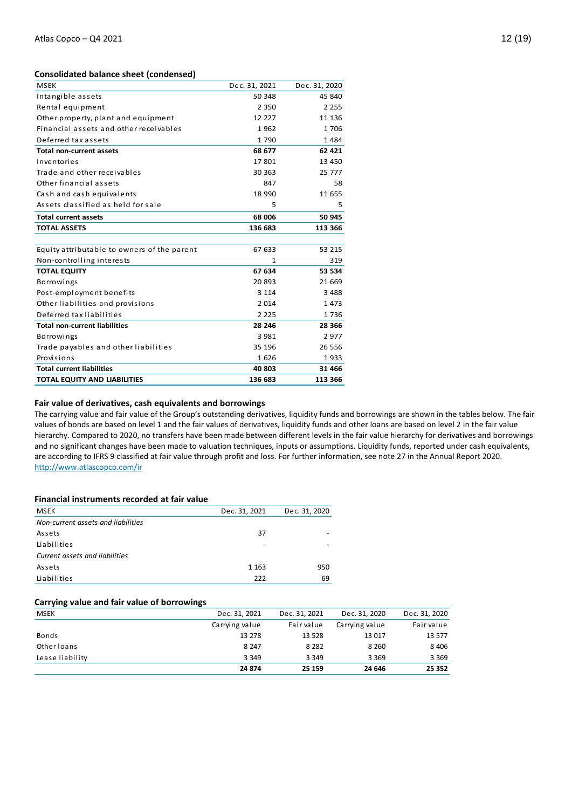#### **Consolidated balance sheet (condensed)**

| <b>MSEK</b>                                 | Dec. 31, 2021 | Dec. 31, 2020 |
|---------------------------------------------|---------------|---------------|
| Intangible assets                           | 50 348        | 45 840        |
| Rental equipment                            | 2 3 5 0       | 2 2 5 5       |
| Other property, plant and equipment         | 12 2 2 7      | 11 136        |
| Financial assets and other receivables      | 1962          | 1706          |
| Deferred tax assets                         | 1790          | 1484          |
| <b>Total non-current assets</b>             | 68 677        | 62 4 21       |
| Inventories                                 | 17801         | 13 450        |
| Trade and other receivables                 | 30 363        | 25 777        |
| Other financial assets                      | 847           | 58            |
| Cash and cash equivalents                   | 18 990        | 11 655        |
| Assets classified as held for sale          | 5             | 5             |
| <b>Total current assets</b>                 | 68 006        | 50 945        |
| <b>TOTAL ASSETS</b>                         | 136 683       | 113 366       |
|                                             |               |               |
| Equity attributable to owners of the parent | 67 633        | 53 215        |
| Non-controlling interests                   | 1             | 319           |
| <b>TOTAL EQUITY</b>                         | 67 634        | 53 534        |
| <b>Borrowings</b>                           | 20893         | 21 6 6 9      |
| Post-employment benefits                    | 3 1 1 4       | 3 4 8 8       |
| Other liabilities and provisions            | 2014          | 1473          |
| Deferred tax liabilities                    | 2 2 2 5       | 1736          |
| <b>Total non-current liabilities</b>        | 28 246        | 28 3 66       |
| <b>Borrowings</b>                           | 3 9 8 1       | 2977          |
| Trade payables and other liabilities        | 35 196        | 26 556        |
| Provisions                                  | 1626          | 1933          |
| <b>Total current liabilities</b>            | 40 803        | 31 4 66       |
| TOTAL EQUITY AND LIABILITIES                | 136 683       | 113 366       |

#### **Fair value of derivatives, cash equivalents and borrowings**

The carrying value and fair value of the Group's outstanding derivatives, liquidity funds and borrowings are shown in the tables below. The fair values of bonds are based on level 1 and the fair values of derivatives, liquidity funds and other loans are based on level 2 in the fair value hierarchy. Compared to 2020, no transfers have been made between different levels in the fair value hierarchy for derivatives and borrowings and no significant changes have been made to valuation techniques, inputs or assumptions. Liquidity funds, reported under cash equivalents, are according to IFRS 9 classified at fair value through profit and loss. For further information, see note 27 in the Annual Report 2020. <http://www.atlascopco.com/ir>

#### **Financial instruments recorded at fair value**

| <b>MSEK</b>                        | Dec. 31, 2021 | Dec. 31, 2020 |
|------------------------------------|---------------|---------------|
| Non-current assets and liabilities |               |               |
| Assets                             | 37            |               |
| Liabilities                        |               |               |
| Current assets and liabilities     |               |               |
| Assets                             | 1 1 6 3       | 950           |
| Liabilities                        | 222           | 69            |

#### **Carrying value and fair value of borrowings**

| <b>MSEK</b>     | Dec. 31, 2021  | Dec. 31, 2021 | Dec. 31, 2020  | Dec. 31, 2020 |
|-----------------|----------------|---------------|----------------|---------------|
|                 | Carrying value | Fair value    | Carrying value | Fair value    |
| <b>Bonds</b>    | 13 278         | 13 5 28       | 13 017         | 13 577        |
| Other loans     | 8 2 4 7        | 8 2 8 2       | 8 2 6 0        | 8 4 0 6       |
| Lease liability | 3 3 4 9        | 3 3 4 9       | 3 3 6 9        | 3 3 6 9       |
|                 | 24 874         | 25 159        | 24 646         | 25 352        |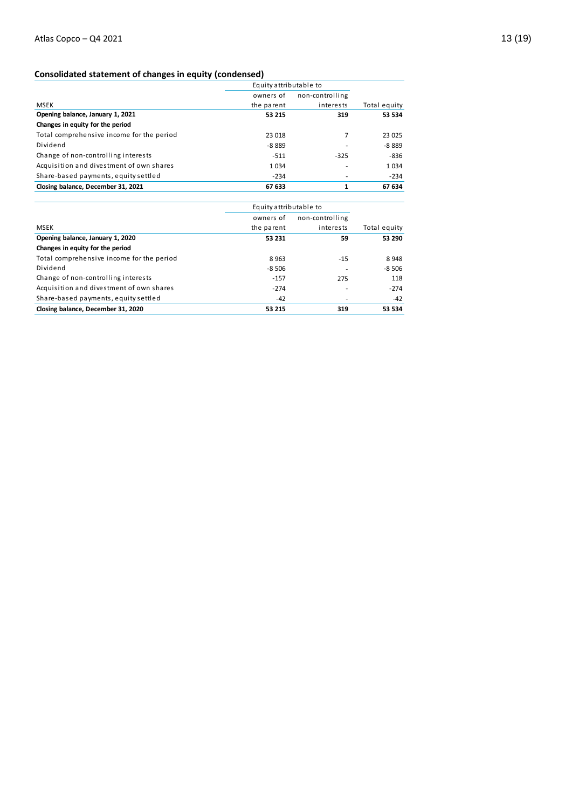|                                           |            | Equity attributable to |              |  |
|-------------------------------------------|------------|------------------------|--------------|--|
|                                           | owners of  | non-controlling        |              |  |
| <b>MSEK</b>                               | the parent | interests              | Total equity |  |
| Opening balance, January 1, 2021          | 53 215     | 319                    | 53 534       |  |
| Changes in equity for the period          |            |                        |              |  |
| Total comprehensive income for the period | 23 018     | 7                      | 23 025       |  |
| Dividend                                  | $-8.889$   |                        | $-8889$      |  |
| Change of non-controlling interests       | $-511$     | $-325$                 | -836         |  |
| Acquisition and divestment of own shares  | 1034       |                        | 1034         |  |
| Share-based payments, equity settled      | $-234$     |                        | $-234$       |  |
| Closing balance, December 31, 2021        | 67 633     |                        | 67 634       |  |

| Closing Dalance, December 31, 2021        | ככס וס                 |                 | <b>07034</b> |  |
|-------------------------------------------|------------------------|-----------------|--------------|--|
|                                           | Equity attributable to |                 |              |  |
|                                           | owners of              | non-controlling |              |  |
| <b>MSEK</b>                               | the parent             | interests       | Total equity |  |
| Opening balance, January 1, 2020          | 53 231                 | 59              | 53 290       |  |
| Changes in equity for the period          |                        |                 |              |  |
| Total comprehensive income for the period | 8963                   | $-15$           | 8948         |  |
| Dividend                                  | $-8506$                |                 | $-8,506$     |  |
| Change of non-controlling interests       | $-157$                 | 275             | 118          |  |
| Acquisition and divestment of own shares  | $-274$                 |                 | $-274$       |  |
| Share-based payments, equity settled      | $-42$                  |                 | -42          |  |
| Closing balance, December 31, 2020        | 53 215                 | 319             | 53 534       |  |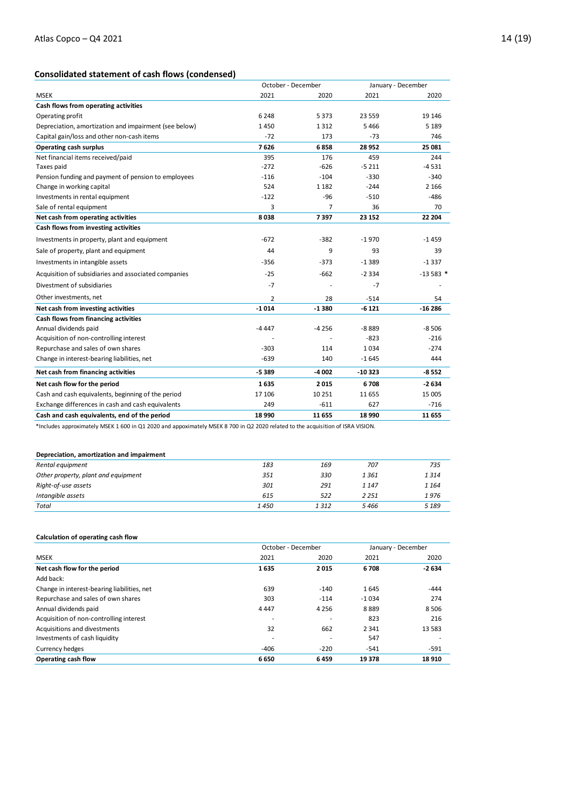|                                                       |                | October - December |          | January - December |  |
|-------------------------------------------------------|----------------|--------------------|----------|--------------------|--|
| <b>MSEK</b>                                           | 2021           | 2020               | 2021     | 2020               |  |
| Cash flows from operating activities                  |                |                    |          |                    |  |
| Operating profit                                      | 6 2 4 8        | 5373               | 23 559   | 19 146             |  |
| Depreciation, amortization and impairment (see below) | 1450           | 1312               | 5466     | 5 1 8 9            |  |
| Capital gain/loss and other non-cash items            | $-72$          | 173                | $-73$    | 746                |  |
| <b>Operating cash surplus</b>                         | 7626           | 6858               | 28 9 52  | 25 081             |  |
| Net financial items received/paid                     | 395            | 176                | 459      | 244                |  |
| Taxes paid                                            | $-272$         | $-626$             | $-5211$  | $-4531$            |  |
| Pension funding and payment of pension to employees   | $-116$         | $-104$             | $-330$   | $-340$             |  |
| Change in working capital                             | 524            | 1 1 8 2            | $-244$   | 2 1 6 6            |  |
| Investments in rental equipment                       | $-122$         | $-96$              | $-510$   | $-486$             |  |
| Sale of rental equipment                              | 3              | $\overline{7}$     | 36       | 70                 |  |
| Net cash from operating activities                    | 8038           | 7397               | 23 152   | 22 204             |  |
| Cash flows from investing activities                  |                |                    |          |                    |  |
| Investments in property, plant and equipment          | $-672$         | $-382$             | $-1970$  | $-1459$            |  |
| Sale of property, plant and equipment                 | 44             | 9                  | 93       | 39                 |  |
| Investments in intangible assets                      | $-356$         | $-373$             | $-1389$  | $-1337$            |  |
| Acquisition of subsidiaries and associated companies  | $-25$          | $-662$             | $-2334$  | $-13583*$          |  |
| Divestment of subsidiaries                            | $-7$           |                    | $-7$     |                    |  |
| Other investments, net                                | $\overline{2}$ | 28                 | $-514$   | 54                 |  |
| Net cash from investing activities                    | $-1014$        | $-1380$            | $-6121$  | $-16286$           |  |
| Cash flows from financing activities                  |                |                    |          |                    |  |
| Annual dividends paid                                 | $-4447$        | $-4256$            | $-8889$  | $-8506$            |  |
| Acquisition of non-controlling interest               |                |                    | $-823$   | $-216$             |  |
| Repurchase and sales of own shares                    | $-303$         | 114                | 1034     | $-274$             |  |
| Change in interest-bearing liabilities, net           | $-639$         | 140                | $-1645$  | 444                |  |
| Net cash from financing activities                    | $-5389$        | $-4002$            | $-10323$ | $-8552$            |  |
| Net cash flow for the period                          | 1635           | 2015               | 6708     | $-2634$            |  |
| Cash and cash equivalents, beginning of the period    | 17 106         | 10 25 1            | 11 655   | 15 005             |  |
| Exchange differences in cash and cash equivalents     | 249            | $-611$             | 627      | $-716$             |  |
| Cash and cash equivalents, end of the period          | 18 990         | 11 655             | 18 990   | 11 655             |  |

\*Includes approximately MSEK 1 600 in Q1 2020 and appoximately MSEK 8 700 in Q2 2020 related to the acquisition of ISRA VISION.

#### **Depreciation, amortization and impairment**

| Rental equipment                    | 183  | 169   | 707     | 735     |
|-------------------------------------|------|-------|---------|---------|
| Other property, plant and equipment | 351  | 330   | 1361    | 1314    |
| Right-of-use assets                 | 301  | 291   | 1 1 4 7 | 1 1 6 4 |
| Intangible assets                   | 615  | 522   | 2 2 5 1 | 1976    |
| Total                               | 1450 | 1 312 | 5466    | 5 1 8 9 |
|                                     |      |       |         |         |

#### **Calculation of operating cash flow**

|                                             |         | October - December       |         | January - December |  |
|---------------------------------------------|---------|--------------------------|---------|--------------------|--|
| <b>MSEK</b>                                 | 2021    | 2020                     | 2021    | 2020               |  |
| Net cash flow for the period                | 1635    | 2015                     | 6708    | $-2634$            |  |
| Add back:                                   |         |                          |         |                    |  |
| Change in interest-bearing liabilities, net | 639     | $-140$                   | 1645    | $-444$             |  |
| Repurchase and sales of own shares          | 303     | $-114$                   | $-1034$ | 274                |  |
| Annual dividends paid                       | 4 4 4 7 | 4 2 5 6                  | 8889    | 8506               |  |
| Acquisition of non-controlling interest     |         | $\overline{\phantom{a}}$ | 823     | 216                |  |
| Acquisitions and divestments                | 32      | 662                      | 2 3 4 1 | 13 5 8 3           |  |
| Investments of cash liquidity               |         |                          | 547     |                    |  |
| Currency hedges                             | $-406$  | $-220$                   | $-541$  | $-591$             |  |
| Operating cash flow                         | 6650    | 6459                     | 19 378  | 18 9 10            |  |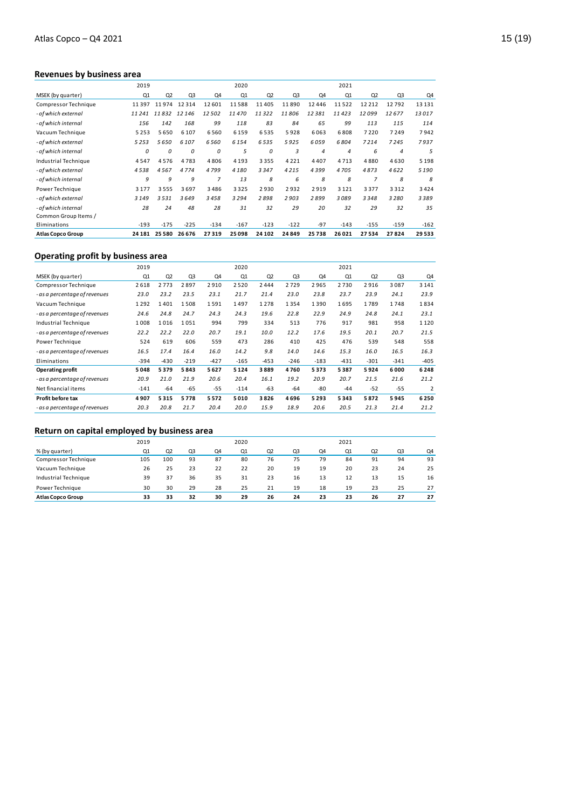## **Revenues by business area**

|                          | 2019    |                |                |        | 2020    |         |                |                | 2021           |                |                |         |
|--------------------------|---------|----------------|----------------|--------|---------|---------|----------------|----------------|----------------|----------------|----------------|---------|
| MSEK (by quarter)        | Q1      | Q <sub>2</sub> | Q <sub>3</sub> | Q4     | Q1      | Q2      | Q <sub>3</sub> | Q4             | Q1             | Q <sub>2</sub> | Q <sub>3</sub> | Q4      |
| Compressor Technique     | 11397   | 11974          | 12314          | 12 601 | 11588   | 11405   | 11890          | 12446          | 11522          | 12 2 12        | 12792          | 13 13 1 |
| - of which external      | 11241   | 11832          | 12 146         | 12502  | 11470   | 11322   | 11806          | 12381          | 11423          | 12099          | 12677          | 13017   |
| - of which internal      | 156     | 142            | 168            | 99     | 118     | 83      | 84             | 65             | 99             | 113            | 115            | 114     |
| Vacuum Technique         | 5253    | 5650           | 6 1 0 7        | 6560   | 6 1 5 9 | 6535    | 5928           | 6063           | 6808           | 7220           | 7249           | 7942    |
| - of which external      | 5253    | 5650           | 6107           | 6560   | 6 1 5 4 | 6535    | 5925           | 6059           | 6804           | 7214           | 7245           | 7937    |
| - of which internal      | 0       | 0              | 0              | 0      | 5       | 0       | 3              | $\overline{4}$ | $\overline{4}$ | 6              | $\overline{4}$ | 5       |
| Industrial Technique     | 4547    | 4576           | 4783           | 4806   | 4 1 9 3 | 3355    | 4 2 2 1        | 4407           | 4713           | 4880           | 4630           | 5 1 9 8 |
| - of which external      | 4538    | 4567           | 4774           | 4799   | 4180    | 3347    | 4215           | 4399           | 4705           | 4873           | 4622           | 5190    |
| - of which internal      | 9       | 9              | 9              | 7      | 13      | 8       | 6              | 8              | 8              | $\overline{7}$ | 8              | 8       |
| Power Technique          | 3 1 7 7 | 3555           | 3697           | 3486   | 3325    | 2930    | 2932           | 2919           | 3 1 2 1        | 3377           | 3312           | 3424    |
| - of which external      | 3 1 4 9 | 3531           | 3649           | 3458   | 3294    | 2898    | 2903           | 2899           | 3089           | 3348           | 3280           | 3389    |
| - of which internal      | 28      | 24             | 48             | 28     | 31      | 32      | 29             | 20             | 32             | 29             | 32             | 35      |
| Common Group Items /     |         |                |                |        |         |         |                |                |                |                |                |         |
| Eliminations             | $-193$  | $-175$         | $-225$         | $-134$ | $-167$  | $-123$  | $-122$         | $-97$          | $-143$         | $-155$         | $-159$         | $-162$  |
| <b>Atlas Copco Group</b> | 24 18 1 | 25 5 80        | 26 676         | 27319  | 25098   | 24 10 2 | 24849          | 25738          | 26021          | 27534          | 27824          | 29533   |

## **Operating profit by business area**

|                               | 2019   |                |                |        | 2020    |        |                |        | 2021   |                |                |                |
|-------------------------------|--------|----------------|----------------|--------|---------|--------|----------------|--------|--------|----------------|----------------|----------------|
| MSEK (by quarter)             | Q1     | Q <sub>2</sub> | Q <sub>3</sub> | Q4     | Q1      | Q2     | Q <sub>3</sub> | Q4     | Q1     | Q <sub>2</sub> | Q <sub>3</sub> | Q4             |
| Compressor Technique          | 2618   | 2773           | 2897           | 2910   | 2520    | 2444   | 2729           | 2965   | 2730   | 2916           | 3087           | 3 1 4 1        |
| - as a percentage of revenues | 23.0   | 23.2           | 23.5           | 23.1   | 21.7    | 21.4   | 23.0           | 23.8   | 23.7   | 23.9           | 24.1           | 23.9           |
| Vacuum Technique              | 1292   | 1401           | 1508           | 1591   | 1497    | 1278   | 1354           | 1390   | 1695   | 1789           | 1748           | 1834           |
| - as a percentage of revenues | 24.6   | 24.8           | 24.7           | 24.3   | 24.3    | 19.6   | 22.8           | 22.9   | 24.9   | 24.8           | 24.1           | 23.1           |
| Industrial Technique          | 1008   | 1016           | 1051           | 994    | 799     | 334    | 513            | 776    | 917    | 981            | 958            | 1 1 2 0        |
| - as a percentage of revenues | 22.2   | 22.2           | 22.0           | 20.7   | 19.1    | 10.0   | 12.2           | 17.6   | 19.5   | 20.1           | 20.7           | 21.5           |
| Power Technique               | 524    | 619            | 606            | 559    | 473     | 286    | 410            | 425    | 476    | 539            | 548            | 558            |
| - as a percentage of revenues | 16.5   | 17.4           | 16.4           | 16.0   | 14.2    | 9.8    | 14.0           | 14.6   | 15.3   | 16.0           | 16.5           | 16.3           |
| Eliminations                  | $-394$ | $-430$         | $-219$         | $-427$ | $-165$  | $-453$ | $-246$         | $-183$ | $-431$ | $-301$         | $-341$         | $-405$         |
| Operating profit              | 5048   | 5379           | 5843           | 5627   | 5 1 2 4 | 3889   | 4760           | 5373   | 5387   | 5924           | 6000           | 6248           |
| - as a percentage of revenues | 20.9   | 21.0           | 21.9           | 20.6   | 20.4    | 16.1   | 19.2           | 20.9   | 20.7   | 21.5           | 21.6           | 21.2           |
| Net financial items           | $-141$ | $-64$          | $-65$          | $-55$  | $-114$  | $-63$  | $-64$          | -80    | $-44$  | $-52$          | $-55$          | $\overline{2}$ |
| Profit before tax             | 4907   | 5315           | 5778           | 5572   | 5010    | 3826   | 4696           | 5293   | 5343   | 5872           | 5945           | 6250           |
| - as a percentage of revenues | 20.3   | 20.8           | 21.7           | 20.4   | 20.0    | 15.9   | 18.9           | 20.6   | 20.5   | 21.3           | 21.4           | 21.2           |

## **Return on capital employed by business area**

| Return on capital employed by business area |      |                |    |    |                |                |    |    |      |                |    |    |
|---------------------------------------------|------|----------------|----|----|----------------|----------------|----|----|------|----------------|----|----|
|                                             | 2019 |                |    |    | 2020           |                |    |    | 2021 |                |    |    |
| % (by quarter)                              | Q1   | Q <sub>2</sub> | Q3 | Q4 | O <sub>1</sub> | Q <sub>2</sub> | Q3 | Q4 | Q1   | Q <sub>2</sub> | Q3 | Q4 |
| Compressor Technique                        | 105  | 100            | 93 | 87 | 80             | 76             | 75 | 79 | 84   | 91             | 94 | 93 |
| Vacuum Technique                            | 26   | 25             | 23 | 22 | 22             | 20             | 19 | 19 | 20   | 23             | 24 | 25 |
| Industrial Technique                        | 39   | 37             | 36 | 35 | 31             | 23             | 16 | 13 | 12   | 13             | 15 | 16 |
| Power Technique                             | 30   | 30             | 29 | 28 | 25             | 21             | 19 | 18 | 19   | 23             | 25 | 27 |
| <b>Atlas Copco Group</b>                    | 33   | 33             | 32 | 30 | 29             | 26             | 24 | 23 | 23   | 26             | 27 | 27 |
|                                             |      |                |    |    |                |                |    |    |      |                |    |    |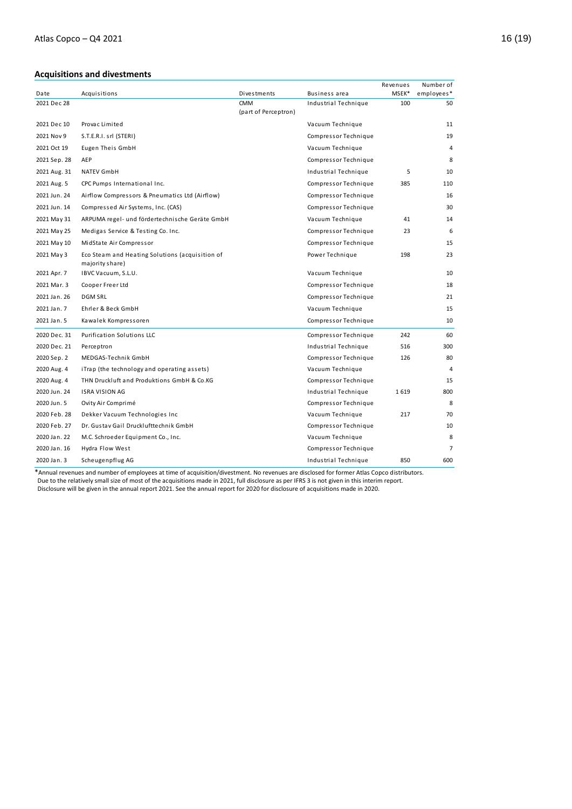## **Acquisitions and divestments**

|              |                                                                    |                                    |                      | Revenues | Number of      |
|--------------|--------------------------------------------------------------------|------------------------------------|----------------------|----------|----------------|
| Date         | Acquisitions                                                       | Divestments                        | Business area        | MSEK*    | employees*     |
| 2021 Dec 28  |                                                                    | <b>CMM</b><br>(part of Perceptron) | Industrial Technique | 100      | 50             |
| 2021 Dec 10  | Provac Limited                                                     |                                    | Vacuum Technique     |          | 11             |
| 2021 Nov 9   | S.T.E.R.I. srl (STERI)                                             |                                    | Compressor Technique |          | 19             |
| 2021 Oct 19  | Eugen Theis GmbH                                                   |                                    | Vacuum Technique     |          | 4              |
| 2021 Sep. 28 | AEP                                                                |                                    | Compressor Technique |          | 8              |
| 2021 Aug. 31 | <b>NATEV GmbH</b>                                                  |                                    | Industrial Technique | 5        | 10             |
| 2021 Aug. 5  | CPC Pumps International Inc.                                       |                                    | Compressor Technique | 385      | 110            |
| 2021 Jun. 24 | Airflow Compressors & Pneumatics Ltd (Airflow)                     |                                    | Compressor Technique |          | 16             |
| 2021 Jun. 14 | Compressed Air Systems, Inc. (CAS)                                 |                                    | Compressor Technique |          | 30             |
| 2021 May 31  | ARPUMA regel- und fördertechnische Geräte GmbH                     |                                    | Vacuum Technique     | 41       | 14             |
| 2021 May 25  | Medigas Service & Testing Co. Inc.                                 |                                    | Compressor Technique | 23       | 6              |
| 2021 May 10  | MidState Air Compressor                                            |                                    | Compressor Technique |          | 15             |
| 2021 May 3   | Eco Steam and Heating Solutions (acquisition of<br>majority share) |                                    | Power Technique      | 198      | 23             |
| 2021 Apr. 7  | IBVC Vacuum, S.L.U.                                                |                                    | Vacuum Technique     |          | 10             |
| 2021 Mar. 3  | Cooper Freer Ltd                                                   |                                    | Compressor Technique |          | 18             |
| 2021 Jan. 26 | <b>DGM SRL</b>                                                     |                                    | Compressor Technique |          | 21             |
| 2021 Jan. 7  | Ehrler & Beck GmbH                                                 |                                    | Vacuum Technique     |          | 15             |
| 2021 Jan. 5  | Kawalek Kompressoren                                               |                                    | Compressor Technique |          | 10             |
| 2020 Dec. 31 | Purification Solutions LLC                                         |                                    | Compressor Technique | 242      | 60             |
| 2020 Dec. 21 | Perceptron                                                         |                                    | Industrial Technique | 516      | 300            |
| 2020 Sep. 2  | MEDGAS-Technik GmbH                                                |                                    | Compressor Technique | 126      | 80             |
| 2020 Aug. 4  | iTrap (the technology and operating assets)                        |                                    | Vacuum Technique     |          | 4              |
| 2020 Aug. 4  | THN Druckluft and Produktions GmbH & Co.KG                         |                                    | Compressor Technique |          | 15             |
| 2020 Jun. 24 | <b>ISRA VISION AG</b>                                              |                                    | Industrial Technique | 1619     | 800            |
| 2020 Jun. 5  | Ovity Air Comprimé                                                 |                                    | Compressor Technique |          | 8              |
| 2020 Feb. 28 | Dekker Vacuum Technologies Inc                                     |                                    | Vacuum Technique     | 217      | 70             |
| 2020 Feb. 27 | Dr. Gustav Gail Drucklufttechnik GmbH                              |                                    | Compressor Technique |          | 10             |
| 2020 Jan. 22 | M.C. Schroeder Equipment Co., Inc.                                 |                                    | Vacuum Technique     |          | 8              |
| 2020 Jan. 16 | Hydra Flow West                                                    |                                    | Compressor Technique |          | $\overline{7}$ |
| 2020 Jan. 3  | Scheugenpflug AG                                                   |                                    | Industrial Technique | 850      | 600            |

\*Annual revenues and number of employees at time of acquisition/divestment. No revenues are disclosed for former Atlas Copco distributors. Due to the relatively small size of most of the acquisitions made in 2021, full disclosure as per IFRS 3 is not given in this interim report. Disclosure will be given in the annual report 2021. See the annual report for 2020 for disclosure of acquisitions made in 2020.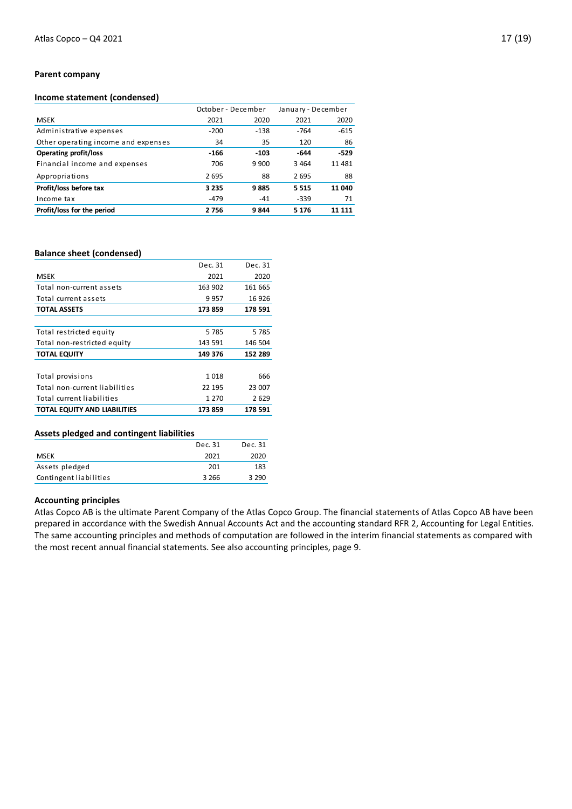#### **Parent company**

#### **Income statement (condensed)**

|                                     | October - December |        | January - December |        |
|-------------------------------------|--------------------|--------|--------------------|--------|
| <b>MSEK</b>                         | 2021               | 2020   | 2021               | 2020   |
| Administrative expenses             | $-200$             | $-138$ | $-764$             | $-615$ |
| Other operating income and expenses | 34                 | 35     | 120                | 86     |
| <b>Operating profit/loss</b>        | $-166$             | $-103$ | -644               | $-529$ |
| Financial income and expenses       | 706                | 9 900  | 3464               | 11 481 |
| Appropriations                      | 2695               | 88     | 2695               | 88     |
| Profit/loss before tax              | 3 2 3 5            | 9885   | 5515               | 11 040 |
| Income tax                          | $-479$             | $-41$  | $-339$             | 71     |
| Profit/loss for the period          | 2756               | 9844   | 5 1 7 6            | 11 111 |

#### **Balance sheet (condensed)**

|                                     | Dec. 31 | Dec. 31 |
|-------------------------------------|---------|---------|
| <b>MSEK</b>                         | 2021    | 2020    |
| Total non-current assets            | 163 902 | 161 665 |
| Total current assets                | 9957    | 16 9 26 |
| <b>TOTAL ASSETS</b>                 | 173859  | 178 591 |
|                                     |         |         |
| Total restricted equity             | 5 7 8 5 | 5785    |
| Total non-restricted equity         | 143 591 | 146 504 |
| <b>TOTAL EQUITY</b>                 | 149 376 | 152 289 |
|                                     |         |         |
| Total provisions                    | 1018    | 666     |
| Total non-current liabilities       | 22 195  | 23 007  |
| Total current liabilities           | 1 2 7 0 | 2629    |
| <b>TOTAL EQUITY AND LIABILITIES</b> | 173859  | 178 591 |
|                                     |         |         |

#### **Assets pledged and contingent liabilities**

|                        | Dec. 31 | Dec. 31 |
|------------------------|---------|---------|
| <b>MSEK</b>            | 2021    | 2020    |
| Assets pledged         | 201     | 183     |
| Contingent liabilities | 3 2 6 6 | 3 2 9 0 |

#### **Accounting principles**

Atlas Copco AB is the ultimate Parent Company of the Atlas Copco Group. The financial statements of Atlas Copco AB have been prepared in accordance with the Swedish Annual Accounts Act and the accounting standard RFR 2, Accounting for Legal Entities. The same accounting principles and methods of computation are followed in the interim financial statements as compared with the most recent annual financial statements. See also accounting principles, page 9.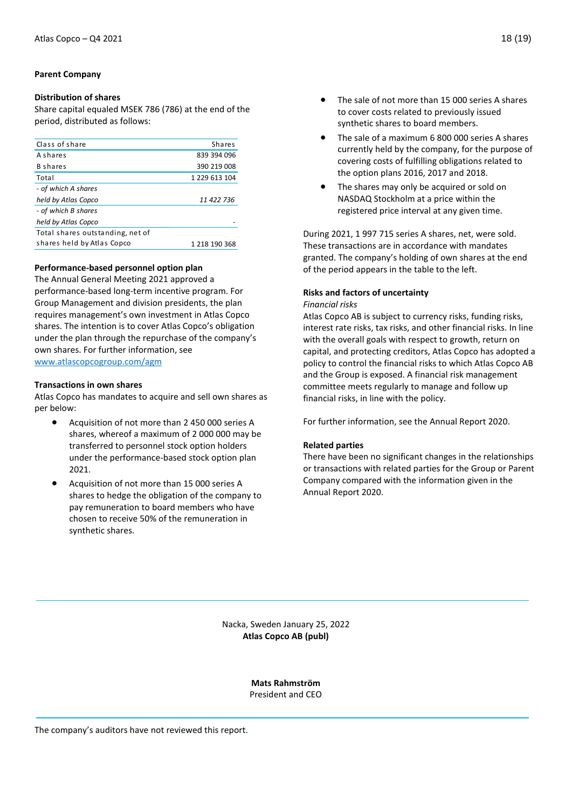#### **Parent Company**

#### **Distribution of shares**

Share capital equaled MSEK 786 (786) at the end of the period, distributed as follows:

| Class of share                   | <b>Shares</b> |
|----------------------------------|---------------|
| A shares                         | 839 394 096   |
| <b>B</b> shares                  | 390 219 008   |
| Total                            | 1 229 613 104 |
| - of which A shares              |               |
| held by Atlas Copco              | 11 422 736    |
| - of which B shares              |               |
| held by Atlas Copco              |               |
| Total shares outstanding, net of |               |
| shares held by Atlas Copco       | 1 218 190 368 |
|                                  |               |

#### **Performance-based personnel option plan**

The Annual General Meeting 2021 approved a performance-based long-term incentive program. For Group Management and division presidents, the plan requires management's own investment in Atlas Copco shares. The intention is to cover Atlas Copco's obligation under the plan through the repurchase of the company's own shares. For further information, see [www.atlascopcogroup.com/agm](http://www.atlascopcogroup.com/agm) 

#### **Transactions in own shares**

Atlas Copco has mandates to acquire and sell own shares as per below:

- Acquisition of not more than 2 450 000 series A shares, whereof a maximum of 2 000 000 may be transferred to personnel stock option holders under the performance-based stock option plan 2021.
- Acquisition of not more than 15 000 series A shares to hedge the obligation of the company to pay remuneration to board members who have chosen to receive 50% of the remuneration in synthetic shares.
- The sale of not more than 15 000 series A shares to cover costs related to previously issued synthetic shares to board members.
- The sale of a maximum 6 800 000 series A shares currently held by the company, for the purpose of covering costs of fulfilling obligations related to the option plans 2016, 2017 and 2018.
- The shares may only be acquired or sold on NASDAQ Stockholm at a price within the registered price interval at any given time.

During 2021, 1 997 715 series A shares, net, were sold. These transactions are in accordance with mandates granted. The company's holding of own shares at the end of the period appears in the table to the left.

#### **Risks and factors of uncertainty**

#### *Financial risks*

Atlas Copco AB is subject to currency risks, funding risks, interest rate risks, tax risks, and other financial risks. In line with the overall goals with respect to growth, return on capital, and protecting creditors, Atlas Copco has adopted a policy to control the financial risks to which Atlas Copco AB and the Group is exposed. A financial risk management committee meets regularly to manage and follow up financial risks, in line with the policy.

For further information, see the Annual Report 2020.

#### **Related parties**

There have been no significant changes in the relationships or transactions with related parties for the Group or Parent Company compared with the information given in the Annual Report 2020.

Nacka, Sweden January 25, 2022 **Atlas Copco AB (publ)**

> **Mats Rahmström** President and CEO